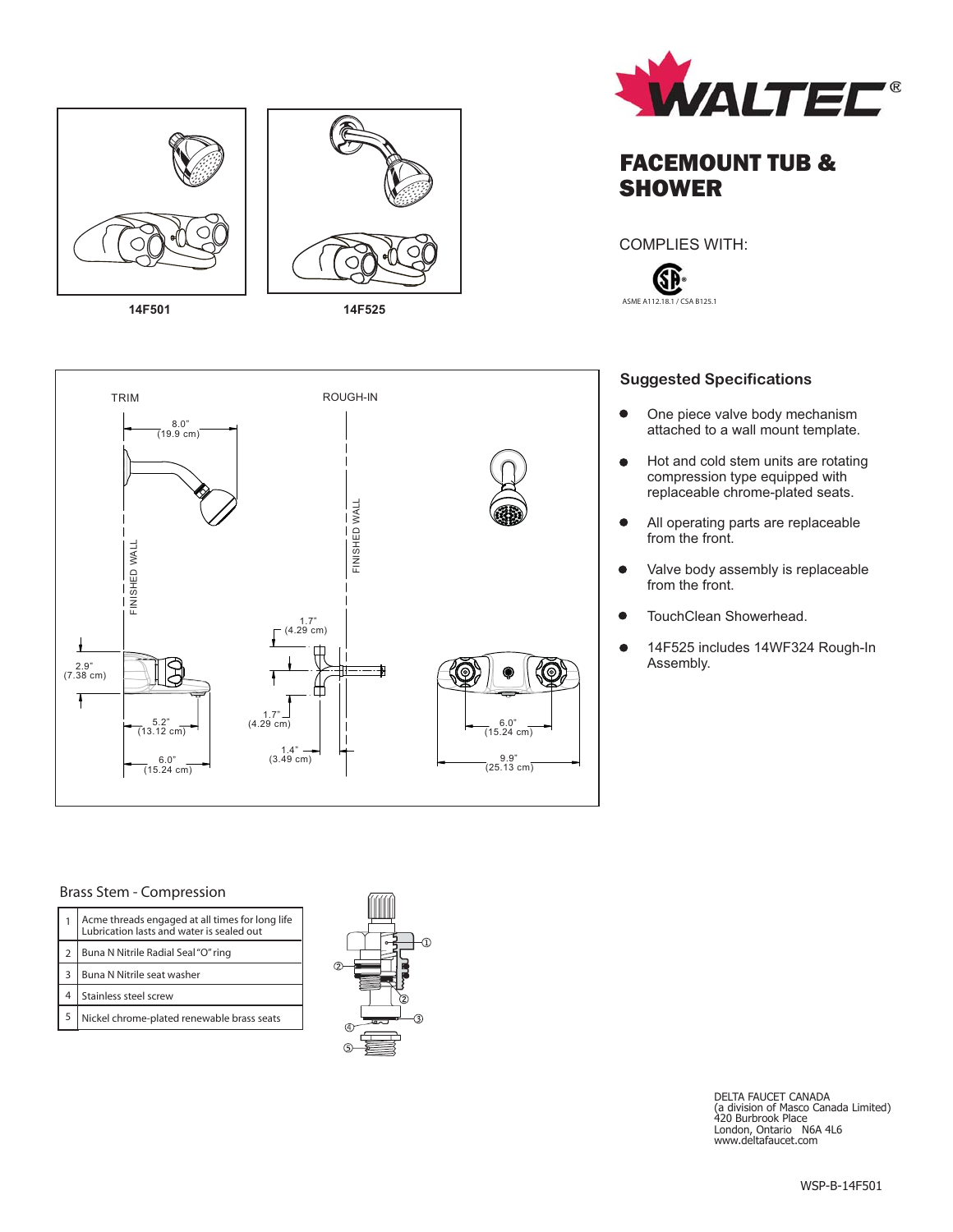

**14F501**

**14F525**





## FACEMOUNT TUB & **SHOWER**

COMPLIES WITH:



### **Suggested Specifications**

- $\bullet$ One piece valve body mechanism attached to a wall mount template.
- Hot and cold stem units are rotating  $\bullet$ compression type equipped with replaceable chrome-plated seats.
- $\bullet$ All operating parts are replaceable from the front.
- Valve body assembly is replaceable  $\bullet$ from the front.
- $\bullet$ TouchClean Showerhead.
- 14F525 includes 14WF324 Rough-In  $\bullet$ Assembly.

#### Brass Stem - Compression

| Acme threads engaged at all times for long life<br>Lubrication lasts and water is sealed out |
|----------------------------------------------------------------------------------------------|
| Buna N Nitrile Radial Seal "O" ring                                                          |
| Buna N Nitrile seat washer                                                                   |
| Stainless steel screw                                                                        |
| Nickel chrome-plated renewable brass seats                                                   |



DELTA FAUCET CANADA (a division of Masco Canada Limited) 420 Burbrook Place London, Ontario N6A 4L6 www.deltafaucet.com